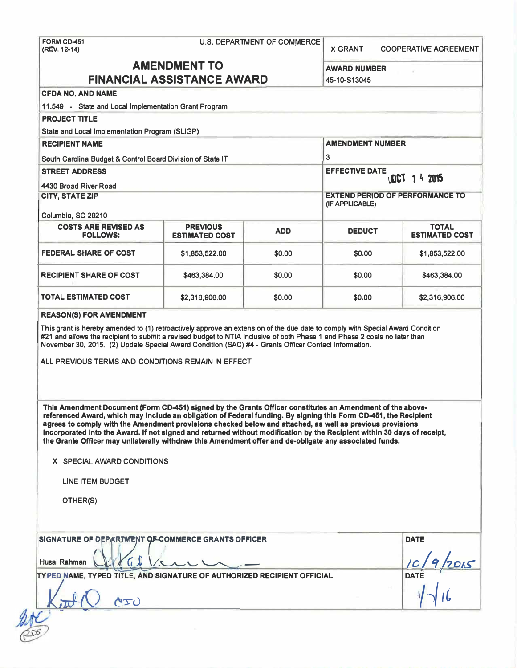**(REV. 12-14) X GRANT COOPERATIVE AGREEMENT** 

# **AMENDMENT TO AWARD NUMBER**

| <b>FINANCIAL ASSISTANCE AWARD</b>                                                                                                                                                                                                                                                                                                                                                                                                                                                                                                                                                                               | 45-10-S13045                             |            |                                        |                                       |  |
|-----------------------------------------------------------------------------------------------------------------------------------------------------------------------------------------------------------------------------------------------------------------------------------------------------------------------------------------------------------------------------------------------------------------------------------------------------------------------------------------------------------------------------------------------------------------------------------------------------------------|------------------------------------------|------------|----------------------------------------|---------------------------------------|--|
| <b>CFDA NO. AND NAME</b>                                                                                                                                                                                                                                                                                                                                                                                                                                                                                                                                                                                        |                                          |            |                                        |                                       |  |
| 11.549 - State and Local Implementation Grant Program                                                                                                                                                                                                                                                                                                                                                                                                                                                                                                                                                           |                                          |            |                                        |                                       |  |
| <b>PROJECT TITLE</b>                                                                                                                                                                                                                                                                                                                                                                                                                                                                                                                                                                                            |                                          |            |                                        |                                       |  |
| State and Local Implementation Program (SLIGP)                                                                                                                                                                                                                                                                                                                                                                                                                                                                                                                                                                  |                                          |            |                                        |                                       |  |
| <b>RECIPIENT NAME</b>                                                                                                                                                                                                                                                                                                                                                                                                                                                                                                                                                                                           |                                          |            | <b>AMENDMENT NUMBER</b>                |                                       |  |
| South Carolina Budget & Control Board Division of State IT                                                                                                                                                                                                                                                                                                                                                                                                                                                                                                                                                      |                                          |            | 3                                      |                                       |  |
| <b>STREET ADDRESS</b><br>4430 Broad River Road                                                                                                                                                                                                                                                                                                                                                                                                                                                                                                                                                                  |                                          |            | <b>EFFECTIVE DATE</b><br>LOCT 14 2015  |                                       |  |
| <b>CITY, STATE ZIP</b>                                                                                                                                                                                                                                                                                                                                                                                                                                                                                                                                                                                          |                                          |            | <b>EXTEND PERIOD OF PERFORMANCE TO</b> |                                       |  |
|                                                                                                                                                                                                                                                                                                                                                                                                                                                                                                                                                                                                                 |                                          |            | (IF APPLICABLE)                        |                                       |  |
| Columbia, SC 29210                                                                                                                                                                                                                                                                                                                                                                                                                                                                                                                                                                                              |                                          |            |                                        |                                       |  |
| <b>COSTS ARE REVISED AS</b><br><b>FOLLOWS:</b>                                                                                                                                                                                                                                                                                                                                                                                                                                                                                                                                                                  | <b>PREVIOUS</b><br><b>ESTIMATED COST</b> | <b>ADD</b> | <b>DEDUCT</b>                          | <b>TOTAL</b><br><b>ESTIMATED COST</b> |  |
| <b>FEDERAL SHARE OF COST</b>                                                                                                                                                                                                                                                                                                                                                                                                                                                                                                                                                                                    | \$1,853,522.00                           | \$0.00     | \$0.00                                 | \$1,853,522.00                        |  |
| <b>RECIPIENT SHARE OF COST</b>                                                                                                                                                                                                                                                                                                                                                                                                                                                                                                                                                                                  | \$463,384.00                             | \$0.00     | \$0.00                                 | \$463,384.00                          |  |
| <b>TOTAL ESTIMATED COST</b>                                                                                                                                                                                                                                                                                                                                                                                                                                                                                                                                                                                     | \$2,316,906.00                           | \$0.00     | \$0.00                                 | \$2,316,906.00                        |  |
| <b>REASON(S) FOR AMENDMENT</b>                                                                                                                                                                                                                                                                                                                                                                                                                                                                                                                                                                                  |                                          |            |                                        |                                       |  |
| ALL PREVIOUS TERMS AND CONDITIONS REMAIN IN EFFECT                                                                                                                                                                                                                                                                                                                                                                                                                                                                                                                                                              |                                          |            |                                        |                                       |  |
| This Amendment Document (Form CD-451) signed by the Grants Officer constitutes an Amendment of the above-<br>referenced Award, which may include an obligation of Federal funding. By signing this Form CD-451, the Recipient<br>agrees to comply with the Amendment provisions checked below and attached, as well as previous provisions<br>Incorporated Into the Award. If not signed and returned without modification by the Recipient within 30 days of receipt,<br>the Grants Officer may unilaterally withdraw this Amendment offer and de-obligate any associated funds.<br>X SPECIAL AWARD CONDITIONS |                                          |            |                                        |                                       |  |
|                                                                                                                                                                                                                                                                                                                                                                                                                                                                                                                                                                                                                 |                                          |            |                                        |                                       |  |
| <b>LINE ITEM BUDGET</b>                                                                                                                                                                                                                                                                                                                                                                                                                                                                                                                                                                                         |                                          |            |                                        |                                       |  |
| OTHER(S)                                                                                                                                                                                                                                                                                                                                                                                                                                                                                                                                                                                                        |                                          |            |                                        |                                       |  |
| SIGNATURE OF DEPARTMENT OF COMMERCE GRANTS OFFICER                                                                                                                                                                                                                                                                                                                                                                                                                                                                                                                                                              |                                          |            |                                        | <b>DATE</b>                           |  |
| Husai Rahman                                                                                                                                                                                                                                                                                                                                                                                                                                                                                                                                                                                                    |                                          |            |                                        |                                       |  |
| TYPED NAME, TYPED TITLE, AND SIGNATURE OF AUTHORIZED RECIPIENT OFFICIAL<br><b>DATE</b>                                                                                                                                                                                                                                                                                                                                                                                                                                                                                                                          |                                          |            |                                        |                                       |  |
| AIU                                                                                                                                                                                                                                                                                                                                                                                                                                                                                                                                                                                                             |                                          |            |                                        |                                       |  |
|                                                                                                                                                                                                                                                                                                                                                                                                                                                                                                                                                                                                                 |                                          |            |                                        |                                       |  |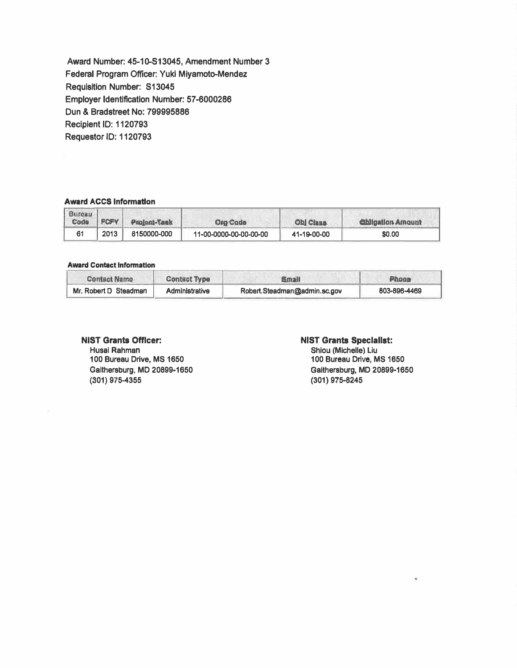**Award Number: 45-10-513045, Amendment Number 3 Federal Program Officer: Yuki Miyamoto-Mendez Requisition Number: S13045 Employer Identification Number: 57-6000286 Dun & Bradstreet No: 799995886 Recipient ID: 1120793 Requester ID: 1120793** 

### **Award ACCS Information**

| <b>Bureau</b><br><b>Code</b> | <b>FCFY</b> | Project-Task | <b>Org Code</b>        | <b>Ohl Class</b> | <b>Obligation Amount</b> |
|------------------------------|-------------|--------------|------------------------|------------------|--------------------------|
|                              | 2013        | 8150000-000  | 11-00-0000-00-00-00-00 | 41-19-00-00      | \$0.00                   |

#### **Award Contact Information**

| <b>Contact Name</b>   | <b>Contact Type</b> | <b>Email</b>                  | <b>Phone</b> |
|-----------------------|---------------------|-------------------------------|--------------|
| Mr. Robert D Steadman | Administrative      | Robert. Steadman@admin.sc.gov | 803-896-4469 |

# **NIST Grants Officer:**

**Husei Rahman 100 Bureau Drive, MS 1650 Gaithersburg, MD 20899-1650 (301) 975-4355**

## **NIST Grants Speclallst:**

**Shiou (Mlchelle) Liu 100 Bureau Drive, MS 1650 Gaithersburg, MD 20899-1650 (301) 975-8245**